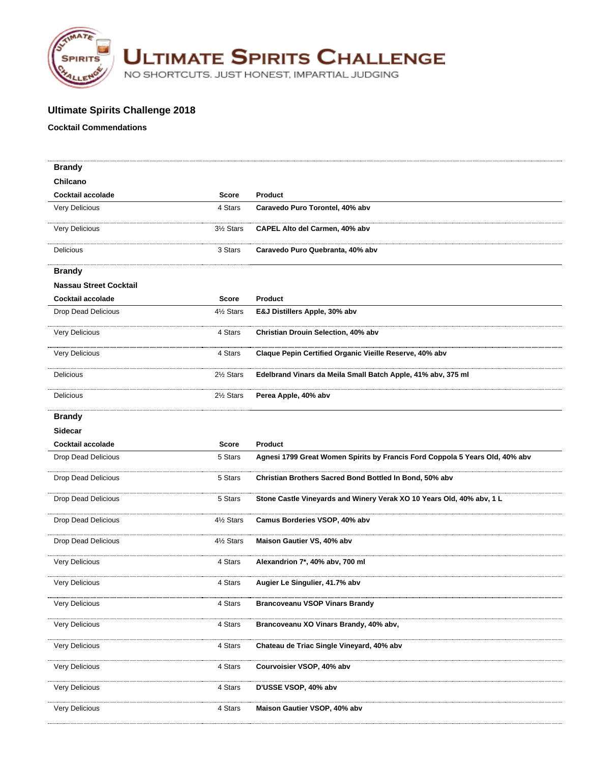

**ULTIMATE SPIRITS CHALLENGE** 

NO SHORTCUTS. JUST HONEST, IMPARTIAL JUDGING

## **Ultimate Spirits Challenge 2018**

## **Cocktail Commendations**

| <b>Brandy</b>                 |              |                                                                              |
|-------------------------------|--------------|------------------------------------------------------------------------------|
| Chilcano                      |              |                                                                              |
| Cocktail accolade             | Score        | <b>Product</b>                                                               |
| Very Delicious                | 4 Stars      | Caravedo Puro Torontel, 40% abv                                              |
| <b>Very Delicious</b>         | 3½ Stars     | CAPEL Alto del Carmen, 40% abv                                               |
| Delicious                     | 3 Stars      | Caravedo Puro Quebranta, 40% abv                                             |
| <b>Brandy</b>                 |              |                                                                              |
| <b>Nassau Street Cocktail</b> |              |                                                                              |
| Cocktail accolade             | <b>Score</b> | <b>Product</b>                                                               |
| Drop Dead Delicious           | 4½ Stars     | E&J Distillers Apple, 30% abv                                                |
| Very Delicious                | 4 Stars      | Christian Drouin Selection, 40% abv                                          |
| Very Delicious                | 4 Stars      | Claque Pepin Certified Organic Vieille Reserve, 40% abv                      |
| Delicious                     | 2½ Stars     | Edelbrand Vinars da Meila Small Batch Apple, 41% abv, 375 ml                 |
| Delicious                     | 2½ Stars     | Perea Apple, 40% abv                                                         |
| <b>Brandy</b>                 |              |                                                                              |
| <b>Sidecar</b>                |              |                                                                              |
| Cocktail accolade             | <b>Score</b> | <b>Product</b>                                                               |
| Drop Dead Delicious           | 5 Stars      | Agnesi 1799 Great Women Spirits by Francis Ford Coppola 5 Years Old, 40% abv |
| Drop Dead Delicious           | 5 Stars      | Christian Brothers Sacred Bond Bottled In Bond, 50% abv                      |
| Drop Dead Delicious           | 5 Stars      | Stone Castle Vineyards and Winery Verak XO 10 Years Old, 40% abv, 1 L        |
| Drop Dead Delicious           | 4½ Stars     | Camus Borderies VSOP, 40% abv                                                |
| <b>Drop Dead Delicious</b>    | 41/2 Stars   | Maison Gautier VS, 40% abv                                                   |
| Very Delicious                | 4 Stars      | Alexandrion 7*, 40% abv, 700 ml                                              |
| Very Delicious                | 4 Stars      | Augier Le Singulier, 41.7% abv                                               |
| <b>Very Delicious</b>         | 4 Stars      | <b>Brancoveanu VSOP Vinars Brandy</b>                                        |
| Very Delicious                | 4 Stars      | Brancoveanu XO Vinars Brandy, 40% abv,                                       |
| <b>Very Delicious</b>         | 4 Stars      | Chateau de Triac Single Vineyard, 40% abv                                    |
| Very Delicious                | 4 Stars      | Courvoisier VSOP, 40% abv                                                    |
| <b>Very Delicious</b>         | 4 Stars      | D'USSE VSOP, 40% abv                                                         |
| Very Delicious                | 4 Stars      | Maison Gautier VSOP, 40% abv                                                 |
|                               |              |                                                                              |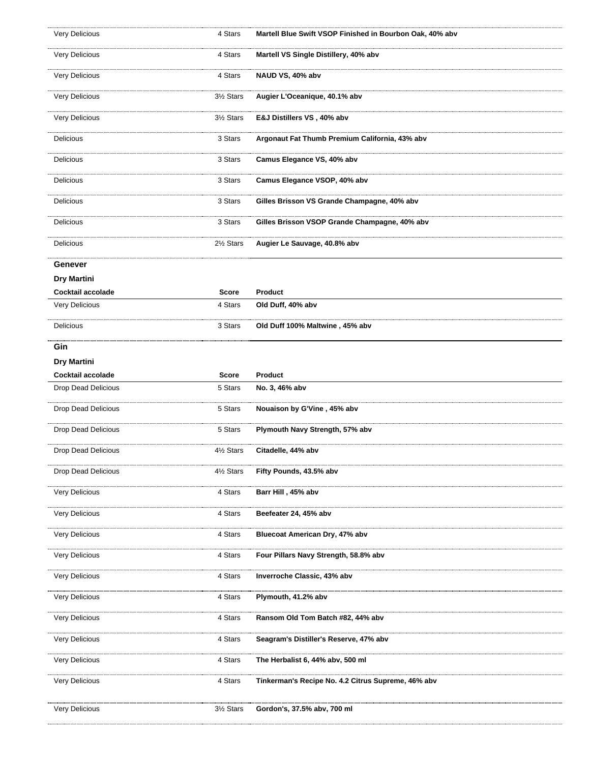| Very Delicious             | 4 Stars  | Martell Blue Swift VSOP Finished in Bourbon Oak, 40% abv |
|----------------------------|----------|----------------------------------------------------------|
| Very Delicious             | 4 Stars  | Martell VS Single Distillery, 40% abv                    |
| Very Delicious             | 4 Stars  | NAUD VS, 40% abv                                         |
| Very Delicious             | 3½ Stars | Augier L'Oceanique, 40.1% abv                            |
| Very Delicious             | 3½ Stars | E&J Distillers VS, 40% abv                               |
| <b>Delicious</b>           | 3 Stars  | Argonaut Fat Thumb Premium California, 43% abv           |
| Delicious                  | 3 Stars  | Camus Elegance VS, 40% abv                               |
| Delicious                  | 3 Stars  | Camus Elegance VSOP, 40% abv                             |
| Delicious                  | 3 Stars  | Gilles Brisson VS Grande Champagne, 40% abv              |
| Delicious                  | 3 Stars  | Gilles Brisson VSOP Grande Champagne, 40% abv            |
| Delicious                  | 2½ Stars | Augier Le Sauvage, 40.8% abv                             |
| Genever                    |          |                                                          |
| Dry Martini                |          |                                                          |
| Cocktail accolade          | Score    | Product                                                  |
| Very Delicious             | 4 Stars  | Old Duff, 40% abv                                        |
| Delicious                  | 3 Stars  | Old Duff 100% Maltwine, 45% abv                          |
| Gin                        |          |                                                          |
| <b>Dry Martini</b>         |          |                                                          |
| Cocktail accolade          | Score    | Product                                                  |
|                            |          |                                                          |
| Drop Dead Delicious        | 5 Stars  | No. 3, 46% abv                                           |
| Drop Dead Delicious        | 5 Stars  | Nouaison by G'Vine, 45% abv                              |
| <b>Drop Dead Delicious</b> | 5 Stars  | Plymouth Navy Strength, 57% abv                          |
| Drop Dead Delicious        | 4½ Stars | Citadelle, 44% abv                                       |
| Drop Dead Delicious        | 4½ Stars | Fifty Pounds, 43.5% abv                                  |
| Very Delicious             | 4 Stars  | Barr Hill, 45% abv                                       |
| Very Delicious             | 4 Stars  | Beefeater 24, 45% abv                                    |
| Very Delicious             | 4 Stars  | Bluecoat American Dry, 47% abv                           |
| <b>Very Delicious</b>      | 4 Stars  | Four Pillars Navy Strength, 58.8% abv                    |
| Very Delicious             | 4 Stars  | Inverroche Classic, 43% abv                              |
| Very Delicious             | 4 Stars  | Plymouth, 41.2% abv                                      |
| Very Delicious             | 4 Stars  | Ransom Old Tom Batch #82, 44% abv                        |
| Very Delicious             | 4 Stars  | Seagram's Distiller's Reserve, 47% abv                   |
| Very Delicious             | 4 Stars  | The Herbalist 6, 44% abv, 500 ml                         |
| Very Delicious             | 4 Stars  | Tinkerman's Recipe No. 4.2 Citrus Supreme, 46% abv       |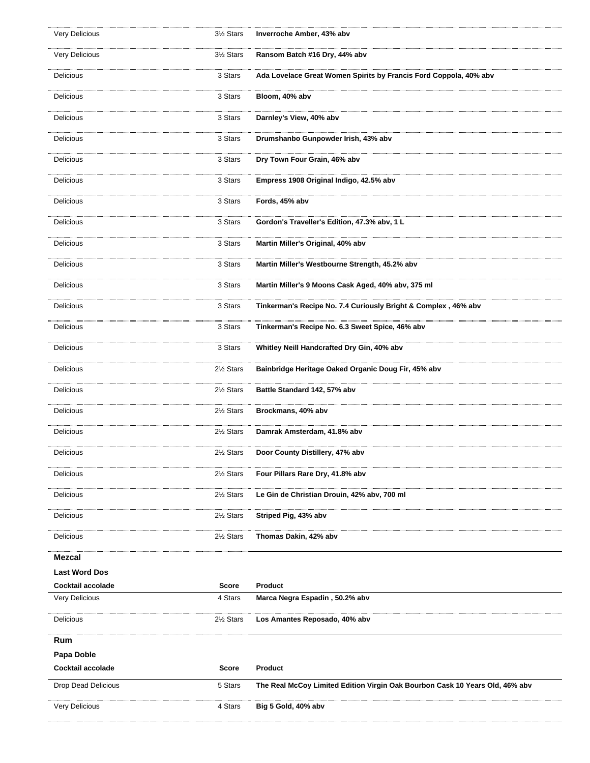| Very Delicious        | 3½ Stars   | Inverroche Amber, 43% abv                                                    |
|-----------------------|------------|------------------------------------------------------------------------------|
| Very Delicious        | 3½ Stars   | Ransom Batch #16 Dry, 44% abv                                                |
| Delicious             | 3 Stars    | Ada Lovelace Great Women Spirits by Francis Ford Coppola, 40% abv            |
| Delicious             | 3 Stars    | Bloom, 40% abv                                                               |
| Delicious             | 3 Stars    | Darnley's View, 40% abv                                                      |
| <b>Delicious</b>      | 3 Stars    | Drumshanbo Gunpowder Irish, 43% abv                                          |
| <b>Delicious</b>      | 3 Stars    | Dry Town Four Grain, 46% abv                                                 |
| Delicious             | 3 Stars    | Empress 1908 Original Indigo, 42.5% abv                                      |
| Delicious             | 3 Stars    | Fords, 45% abv                                                               |
| Delicious             | 3 Stars    | Gordon's Traveller's Edition, 47.3% abv, 1 L                                 |
| <b>Delicious</b>      | 3 Stars    | Martin Miller's Original, 40% abv                                            |
| Delicious             | 3 Stars    | Martin Miller's Westbourne Strength, 45.2% abv                               |
| Delicious             | 3 Stars    | Martin Miller's 9 Moons Cask Aged, 40% abv, 375 ml                           |
| Delicious             | 3 Stars    | Tinkerman's Recipe No. 7.4 Curiously Bright & Complex, 46% abv               |
| Delicious             | 3 Stars    | Tinkerman's Recipe No. 6.3 Sweet Spice, 46% abv                              |
| Delicious             | 3 Stars    | Whitley Neill Handcrafted Dry Gin, 40% abv                                   |
| Delicious             | 2½ Stars   | Bainbridge Heritage Oaked Organic Doug Fir, 45% abv                          |
| Delicious             | 2½ Stars   | Battle Standard 142, 57% abv                                                 |
| Delicious             | 2½ Stars   | Brockmans, 40% abv                                                           |
| Delicious             | 21/2 Stars | Damrak Amsterdam, 41.8% abv                                                  |
| Delicious             | 21/2 Stars | Door County Distillery, 47% abv                                              |
| Delicious             | 2½ Stars   | Four Pillars Rare Dry, 41.8% abv                                             |
| Delicious             | 2½ Stars   | Le Gin de Christian Drouin, 42% abv, 700 ml                                  |
| Delicious             | 2½ Stars   | Striped Pig, 43% abv                                                         |
| Delicious             | 2½ Stars   | Thomas Dakin, 42% abv                                                        |
| Mezcal                |            |                                                                              |
| <b>Last Word Dos</b>  |            |                                                                              |
| Cocktail accolade     | Score      | <b>Product</b>                                                               |
| Very Delicious        | 4 Stars    | Marca Negra Espadin , 50.2% abv                                              |
| Delicious             | 2½ Stars   | Los Amantes Reposado, 40% abv                                                |
| Rum                   |            |                                                                              |
| <b>Papa Doble</b>     |            |                                                                              |
| Cocktail accolade     | Score      | Product                                                                      |
| Drop Dead Delicious   | 5 Stars    | The Real McCoy Limited Edition Virgin Oak Bourbon Cask 10 Years Old, 46% abv |
| <b>Very Delicious</b> | 4 Stars    | Big 5 Gold, 40% abv                                                          |
|                       |            |                                                                              |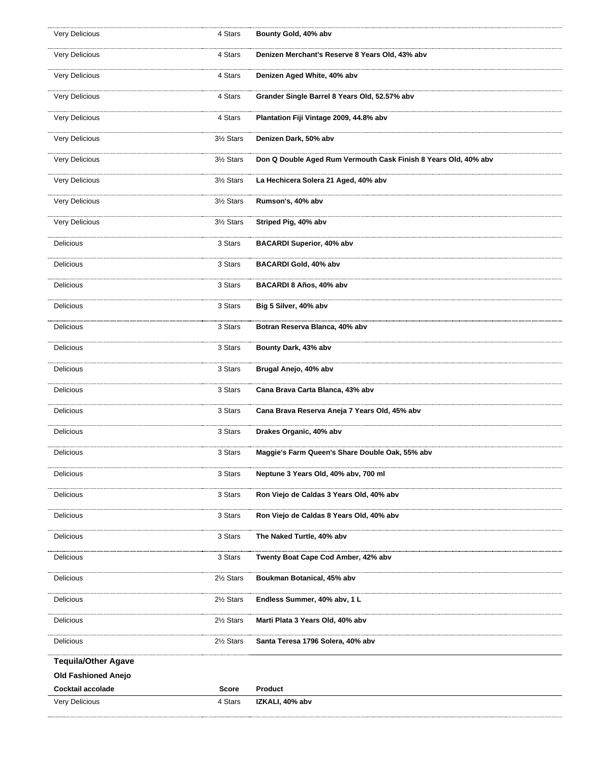| Very Delicious             | 4 Stars      | Bounty Gold, 40% abv                                            |
|----------------------------|--------------|-----------------------------------------------------------------|
| Very Delicious             | 4 Stars      | Denizen Merchant's Reserve 8 Years Old, 43% abv                 |
| Very Delicious             | 4 Stars      | Denizen Aged White, 40% abv                                     |
| Very Delicious             | 4 Stars      | Grander Single Barrel 8 Years Old, 52.57% abv                   |
| Very Delicious             | 4 Stars      | Plantation Fiji Vintage 2009, 44.8% abv                         |
| Very Delicious             | 3½ Stars     | Denizen Dark, 50% abv                                           |
| Very Delicious             | 3½ Stars     | Don Q Double Aged Rum Vermouth Cask Finish 8 Years Old, 40% abv |
| Very Delicious             | 3½ Stars     | La Hechicera Solera 21 Aged, 40% abv                            |
| Very Delicious             | 3½ Stars     | Rumson's, 40% abv                                               |
| Very Delicious             | 3½ Stars     | Striped Pig, 40% abv                                            |
| Delicious                  | 3 Stars      | <b>BACARDI Superior, 40% abv</b>                                |
| <b>Delicious</b>           | 3 Stars      | BACARDI Gold, 40% abv                                           |
| Delicious                  | 3 Stars      | BACARDI 8 Años, 40% abv                                         |
| Delicious                  | 3 Stars      | Big 5 Silver, 40% abv                                           |
| Delicious                  | 3 Stars      | Botran Reserva Blanca, 40% abv                                  |
| Delicious                  | 3 Stars      | Bounty Dark, 43% abv                                            |
| Delicious                  | 3 Stars      | Brugal Anejo, 40% abv                                           |
| Delicious                  | 3 Stars      | Cana Brava Carta Blanca, 43% abv                                |
| Delicious                  | 3 Stars      | Cana Brava Reserva Aneja 7 Years Old, 45% abv                   |
| Delicious                  | 3 Stars      | Drakes Organic, 40% abv                                         |
| Delicious                  | 3 Stars      | Maggie's Farm Queen's Share Double Oak, 55% abv                 |
| Delicious                  | 3 Stars      | Neptune 3 Years Old, 40% abv, 700 ml                            |
| Delicious                  | 3 Stars      | Ron Viejo de Caldas 3 Years Old, 40% abv                        |
| Delicious                  | 3 Stars      | Ron Viejo de Caldas 8 Years Old, 40% abv                        |
| Delicious                  | 3 Stars      | The Naked Turtle, 40% abv                                       |
| Delicious                  | 3 Stars      | Twenty Boat Cape Cod Amber, 42% abv                             |
| Delicious                  | 2½ Stars     | Boukman Botanical, 45% abv                                      |
| Delicious                  | 2½ Stars     | Endless Summer, 40% abv, 1 L                                    |
| Delicious                  | 2½ Stars     | Marti Plata 3 Years Old, 40% abv                                |
| Delicious                  | 2½ Stars     | Santa Teresa 1796 Solera, 40% abv                               |
| <b>Tequila/Other Agave</b> |              |                                                                 |
| <b>Old Fashioned Anejo</b> |              |                                                                 |
| Cocktail accolade          | <b>Score</b> | Product                                                         |
| Very Delicious             | 4 Stars      | IZKALI, 40% abv                                                 |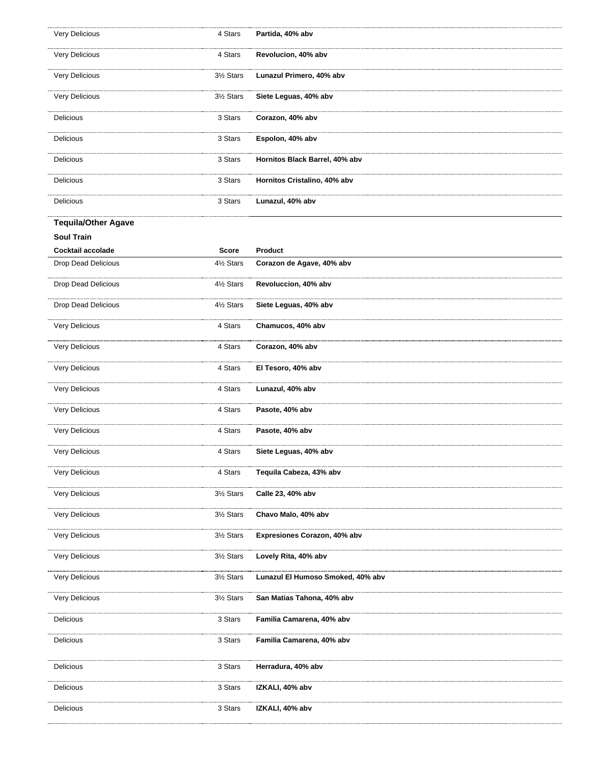| Very Delicious             | 4 Stars                | Partida, 40% abv                  |
|----------------------------|------------------------|-----------------------------------|
| Very Delicious             | 4 Stars                | Revolucion, 40% abv               |
| Very Delicious             | 3½ Stars               | Lunazul Primero, 40% abv          |
| Very Delicious             | 3½ Stars               | Siete Leguas, 40% abv             |
| Delicious                  | 3 Stars                | Corazon, 40% abv                  |
| Delicious                  | 3 Stars                | Espolon, 40% abv                  |
| Delicious                  | 3 Stars                | Hornitos Black Barrel, 40% abv    |
| Delicious                  | 3 Stars                | Hornitos Cristalino, 40% abv      |
| Delicious                  | 3 Stars                | Lunazul, 40% abv                  |
| <b>Tequila/Other Agave</b> |                        |                                   |
| <b>Soul Train</b>          |                        |                                   |
| Cocktail accolade          | <b>Score</b>           | Product                           |
| Drop Dead Delicious        | 4½ Stars               | Corazon de Agave, 40% abv         |
| Drop Dead Delicious        | 41/ <sub>2</sub> Stars | Revoluccion, 40% abv              |
| Drop Dead Delicious        | 4½ Stars               | Siete Leguas, 40% abv             |
| Very Delicious             | 4 Stars                | Chamucos, 40% abv                 |
| Very Delicious             | 4 Stars                | Corazon, 40% abv                  |
| Very Delicious             | 4 Stars                | El Tesoro, 40% abv                |
| Very Delicious             | 4 Stars                | Lunazul, 40% abv                  |
| Very Delicious             | 4 Stars                | Pasote, 40% abv                   |
| Very Delicious             | 4 Stars                | Pasote, 40% abv                   |
| Very Delicious             | 4 Stars                | Siete Leguas, 40% abv             |
| Very Delicious             | 4 Stars                | Tequila Cabeza, 43% abv           |
| Very Delicious             | 3½ Stars               | Calle 23, 40% abv                 |
| Very Delicious             | 3½ Stars               | Chavo Malo, 40% abv               |
| Very Delicious             | 3½ Stars               | Expresiones Corazon, 40% abv      |
| Very Delicious             | 3½ Stars               | Lovely Rita, 40% abv              |
| Very Delicious             | 3½ Stars               | Lunazul El Humoso Smoked, 40% abv |
| Very Delicious             | 3½ Stars               | San Matias Tahona, 40% abv        |
| Delicious                  | 3 Stars                | Familia Camarena, 40% abv         |
| Delicious                  | 3 Stars                | Familia Camarena, 40% abv         |
| Delicious                  | 3 Stars                | Herradura, 40% abv                |
| Delicious                  | 3 Stars                | IZKALI, 40% abv                   |
| Delicious                  | 3 Stars                | IZKALI, 40% abv                   |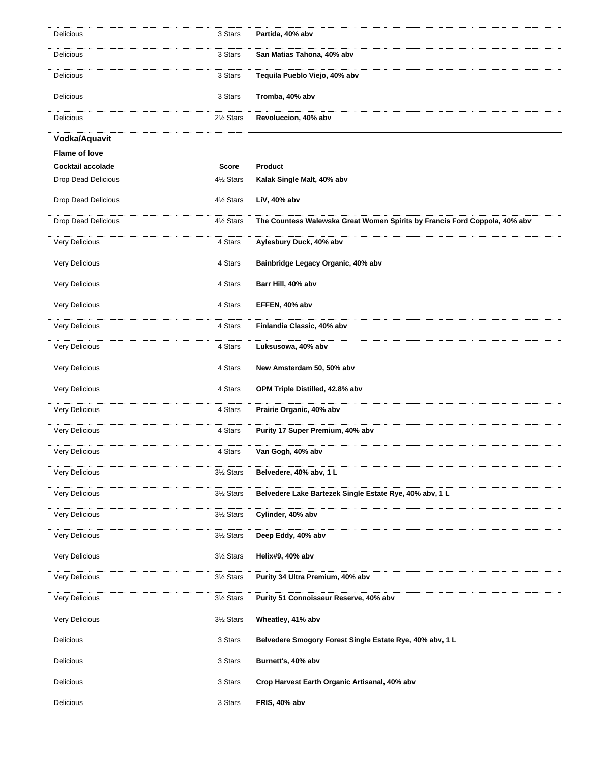| Delicious            | 3 Stars      | Partida, 40% abv                                                           |
|----------------------|--------------|----------------------------------------------------------------------------|
| Delicious            | 3 Stars      | San Matias Tahona, 40% abv                                                 |
| Delicious            | 3 Stars      | Tequila Pueblo Viejo, 40% abv                                              |
| Delicious            | 3 Stars      | Tromba, 40% abv                                                            |
| Delicious            | 2½ Stars     | Revoluccion, 40% abv                                                       |
| Vodka/Aquavit        |              |                                                                            |
| <b>Flame of love</b> |              |                                                                            |
| Cocktail accolade    | <b>Score</b> | Product                                                                    |
| Drop Dead Delicious  | 4½ Stars     | Kalak Single Malt, 40% abv                                                 |
| Drop Dead Delicious  | 4½ Stars     | LiV, 40% abv                                                               |
| Drop Dead Delicious  | 4½ Stars     | The Countess Walewska Great Women Spirits by Francis Ford Coppola, 40% abv |
| Very Delicious       | 4 Stars      | Aylesbury Duck, 40% abv                                                    |
| Very Delicious       | 4 Stars      | Bainbridge Legacy Organic, 40% abv                                         |
| Very Delicious       | 4 Stars      | Barr Hill, 40% abv                                                         |
| Very Delicious       | 4 Stars      | EFFEN, 40% abv                                                             |
| Very Delicious       | 4 Stars      | Finlandia Classic, 40% abv                                                 |
| Very Delicious       | 4 Stars      | Luksusowa, 40% abv                                                         |
| Very Delicious       | 4 Stars      | New Amsterdam 50, 50% abv                                                  |
| Very Delicious       | 4 Stars      | OPM Triple Distilled, 42.8% abv                                            |
| Very Delicious       | 4 Stars      | Prairie Organic, 40% abv                                                   |
| Very Delicious       | 4 Stars      | Purity 17 Super Premium, 40% abv                                           |
| Very Delicious       | 4 Stars      | Van Gogh, 40% abv                                                          |
| Very Delicious       | 3½ Stars     | Belvedere, 40% abv, 1L                                                     |
| Very Delicious       | 3½ Stars     | Belvedere Lake Bartezek Single Estate Rye, 40% abv, 1 L                    |
| Very Delicious       | 3½ Stars     | Cylinder, 40% abv                                                          |
| Very Delicious       | 3½ Stars     | Deep Eddy, 40% abv                                                         |
| Very Delicious       | 3½ Stars     | Helix#9, 40% abv                                                           |
| Very Delicious       | 3½ Stars     | Purity 34 Ultra Premium, 40% abv                                           |
| Very Delicious       | 3½ Stars     | Purity 51 Connoisseur Reserve, 40% abv                                     |
| Very Delicious       | 3½ Stars     | Wheatley, 41% abv                                                          |
| Delicious            | 3 Stars      | Belvedere Smogory Forest Single Estate Rye, 40% abv, 1 L                   |
| Delicious            | 3 Stars      | Burnett's, 40% abv                                                         |
| Delicious            | 3 Stars      | Crop Harvest Earth Organic Artisanal, 40% abv                              |
| Delicious            | 3 Stars      | FRIS, 40% abv                                                              |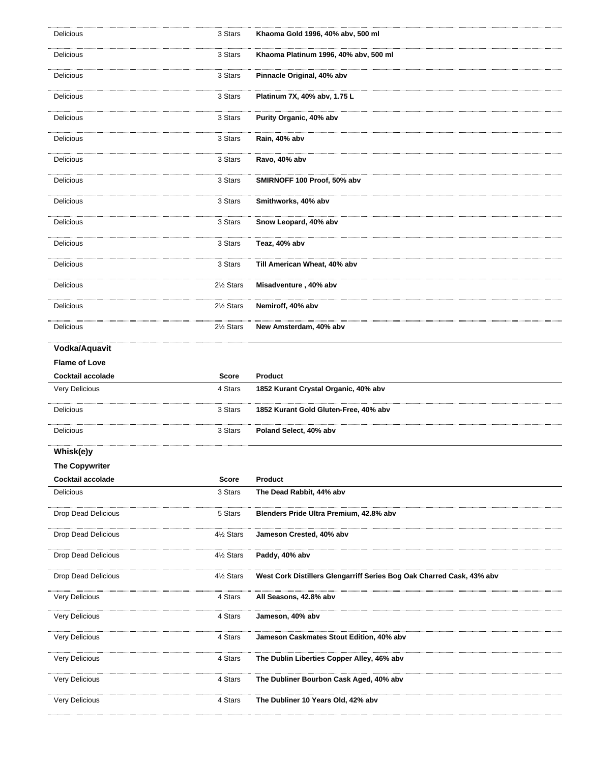| Delicious                  | 3 Stars      | Khaoma Gold 1996, 40% abv, 500 ml                                     |
|----------------------------|--------------|-----------------------------------------------------------------------|
| Delicious                  | 3 Stars      | Khaoma Platinum 1996, 40% abv, 500 ml                                 |
| Delicious                  | 3 Stars      | Pinnacle Original, 40% abv                                            |
| Delicious                  | 3 Stars      | Platinum 7X, 40% abv, 1.75 L                                          |
| Delicious                  | 3 Stars      | Purity Organic, 40% abv                                               |
| Delicious                  | 3 Stars      | Rain, 40% abv                                                         |
| <b>Delicious</b>           | 3 Stars      | Ravo, 40% abv                                                         |
| Delicious                  | 3 Stars      | SMIRNOFF 100 Proof, 50% abv                                           |
| Delicious                  | 3 Stars      | Smithworks, 40% abv                                                   |
| Delicious                  | 3 Stars      | Snow Leopard, 40% abv                                                 |
| Delicious                  | 3 Stars      | Teaz, 40% abv                                                         |
| Delicious                  | 3 Stars      | Till American Wheat, 40% abv                                          |
| Delicious                  | 2½ Stars     | Misadventure, 40% abv                                                 |
| Delicious                  | 2½ Stars     | Nemiroff, 40% abv                                                     |
| Delicious                  | 2½ Stars     | New Amsterdam, 40% abv                                                |
| Vodka/Aquavit              |              |                                                                       |
| <b>Flame of Love</b>       |              |                                                                       |
|                            | <b>Score</b> | Product                                                               |
| Cocktail accolade          |              |                                                                       |
| Very Delicious             | 4 Stars      | 1852 Kurant Crystal Organic, 40% abv                                  |
| Delicious                  | 3 Stars      | 1852 Kurant Gold Gluten-Free, 40% abv                                 |
| Delicious                  | 3 Stars      | Poland Select, 40% abv                                                |
| Whisk(e)y                  |              |                                                                       |
| <b>The Copywriter</b>      |              |                                                                       |
| Cocktail accolade          | Score        | <b>Product</b>                                                        |
| <b>Delicious</b>           | 3 Stars      | The Dead Rabbit, 44% abv                                              |
| <b>Drop Dead Delicious</b> | 5 Stars      | Blenders Pride Ultra Premium, 42.8% abv                               |
| <b>Drop Dead Delicious</b> | 4½ Stars     | Jameson Crested, 40% abv                                              |
| Drop Dead Delicious        | 4½ Stars     | Paddy, 40% abv                                                        |
| <b>Drop Dead Delicious</b> | 4½ Stars     | West Cork Distillers Glengarriff Series Bog Oak Charred Cask, 43% abv |
| Very Delicious             | 4 Stars      | All Seasons, 42.8% abv                                                |
| Very Delicious             | 4 Stars      | Jameson, 40% abv                                                      |
| Very Delicious             | 4 Stars      | Jameson Caskmates Stout Edition, 40% abv                              |
| Very Delicious             | 4 Stars      | The Dublin Liberties Copper Alley, 46% abv                            |
| Very Delicious             | 4 Stars      | The Dubliner Bourbon Cask Aged, 40% abv                               |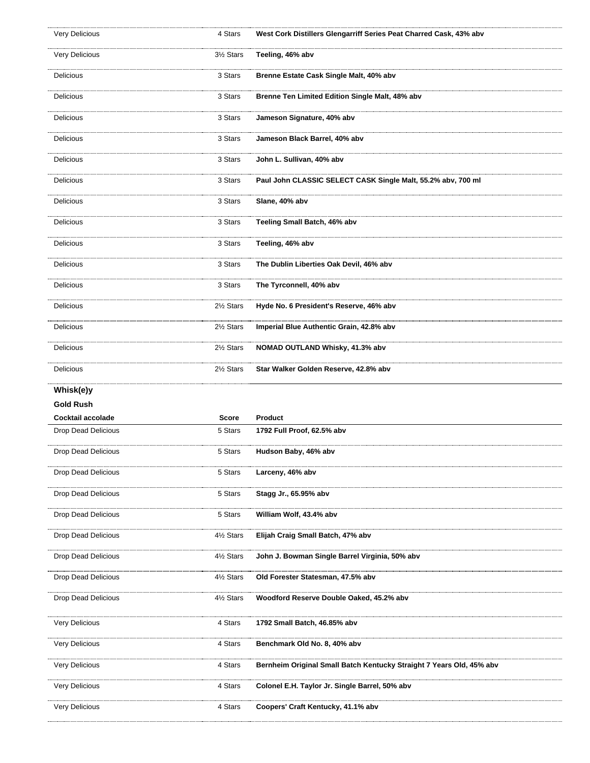| Very Delicious             | 4 Stars  | West Cork Distillers Glengarriff Series Peat Charred Cask, 43% abv   |
|----------------------------|----------|----------------------------------------------------------------------|
| Very Delicious             | 3½ Stars | Teeling, 46% abv                                                     |
| Delicious                  | 3 Stars  | Brenne Estate Cask Single Malt, 40% abv                              |
| Delicious                  | 3 Stars  | Brenne Ten Limited Edition Single Malt, 48% abv                      |
| Delicious                  | 3 Stars  | Jameson Signature, 40% abv                                           |
| Delicious                  | 3 Stars  | Jameson Black Barrel, 40% abv                                        |
| Delicious                  | 3 Stars  | John L. Sullivan, 40% abv                                            |
| Delicious                  | 3 Stars  | Paul John CLASSIC SELECT CASK Single Malt, 55.2% abv, 700 ml         |
| Delicious                  | 3 Stars  | Slane, 40% abv                                                       |
| Delicious                  | 3 Stars  | Teeling Small Batch, 46% abv                                         |
| <b>Delicious</b>           | 3 Stars  | Teeling, 46% abv                                                     |
| Delicious                  | 3 Stars  | The Dublin Liberties Oak Devil, 46% abv                              |
| Delicious                  | 3 Stars  | The Tyrconnell, 40% abv                                              |
| Delicious                  | 2½ Stars | Hyde No. 6 President's Reserve, 46% abv                              |
| Delicious                  | 2½ Stars | Imperial Blue Authentic Grain, 42.8% abv                             |
| Delicious                  | 2½ Stars | NOMAD OUTLAND Whisky, 41.3% abv                                      |
| Delicious                  | 2½ Stars | Star Walker Golden Reserve, 42.8% abv                                |
|                            |          |                                                                      |
| Whisk(e)y                  |          |                                                                      |
| Gold Rush                  |          |                                                                      |
| Cocktail accolade          | Score    | <b>Product</b>                                                       |
| <b>Drop Dead Delicious</b> | 5 Stars  | 1792 Full Proof, 62.5% abv                                           |
| <b>Drop Dead Delicious</b> | 5 Stars  | Hudson Baby, 46% abv                                                 |
| <b>Drop Dead Delicious</b> | 5 Stars  | Larceny, 46% abv                                                     |
| <b>Drop Dead Delicious</b> | 5 Stars  | Stagg Jr., 65.95% abv                                                |
| <b>Drop Dead Delicious</b> | 5 Stars  | William Wolf, 43.4% abv                                              |
| <b>Drop Dead Delicious</b> | 4½ Stars | Elijah Craig Small Batch, 47% abv                                    |
| Drop Dead Delicious        | 4½ Stars | John J. Bowman Single Barrel Virginia, 50% abv                       |
| Drop Dead Delicious        | 4½ Stars | Old Forester Statesman, 47.5% abv                                    |
| <b>Drop Dead Delicious</b> | 4½ Stars | Woodford Reserve Double Oaked, 45.2% abv                             |
| <b>Very Delicious</b>      | 4 Stars  | 1792 Small Batch, 46.85% abv                                         |
| Very Delicious             | 4 Stars  | Benchmark Old No. 8, 40% abv                                         |
| Very Delicious             | 4 Stars  | Bernheim Original Small Batch Kentucky Straight 7 Years Old, 45% abv |
| Very Delicious             | 4 Stars  | Colonel E.H. Taylor Jr. Single Barrel, 50% abv                       |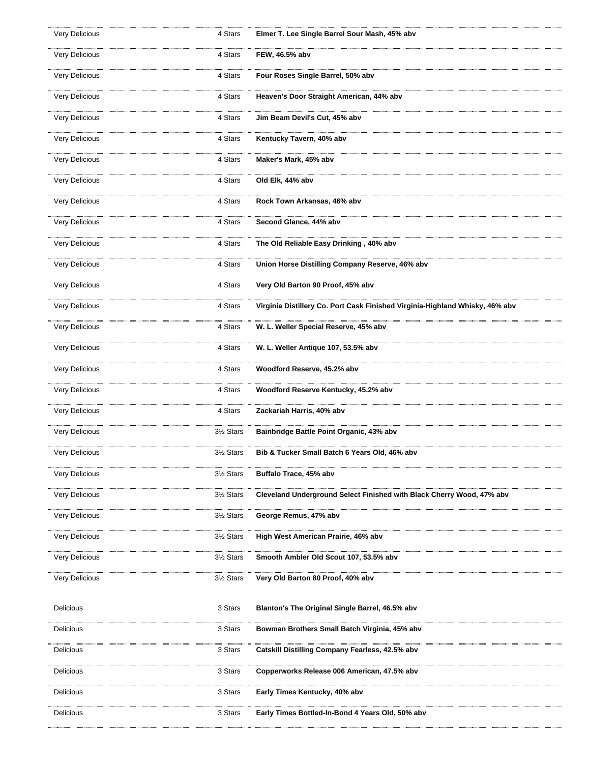| Very Delicious        | 4 Stars  | Elmer T. Lee Single Barrel Sour Mash, 45% abv                                |
|-----------------------|----------|------------------------------------------------------------------------------|
| Very Delicious        | 4 Stars  | FEW, 46.5% abv                                                               |
| Very Delicious        | 4 Stars  | Four Roses Single Barrel, 50% abv                                            |
| Very Delicious        | 4 Stars  | Heaven's Door Straight American, 44% abv                                     |
| Very Delicious        | 4 Stars  | Jim Beam Devil's Cut, 45% abv                                                |
| Very Delicious        | 4 Stars  | Kentucky Tavern, 40% abv                                                     |
| Very Delicious        | 4 Stars  | Maker's Mark, 45% abv                                                        |
| Very Delicious        | 4 Stars  | Old Elk, 44% abv                                                             |
| Very Delicious        | 4 Stars  | Rock Town Arkansas, 46% abv                                                  |
| Very Delicious        | 4 Stars  | Second Glance, 44% abv                                                       |
| Very Delicious        | 4 Stars  | The Old Reliable Easy Drinking, 40% abv                                      |
| Very Delicious        | 4 Stars  | Union Horse Distilling Company Reserve, 46% abv                              |
| Very Delicious        | 4 Stars  | Very Old Barton 90 Proof, 45% abv                                            |
| Very Delicious        | 4 Stars  | Virginia Distillery Co. Port Cask Finished Virginia-Highland Whisky, 46% abv |
| Very Delicious        | 4 Stars  | W. L. Weller Special Reserve, 45% abv                                        |
| Very Delicious        | 4 Stars  | W. L. Weller Antique 107, 53.5% abv                                          |
| Very Delicious        | 4 Stars  | Woodford Reserve, 45.2% abv                                                  |
| Very Delicious        | 4 Stars  | Woodford Reserve Kentucky, 45.2% abv                                         |
| Very Delicious        | 4 Stars  | Zackariah Harris, 40% abv                                                    |
| Very Delicious        | 3½ Stars | Bainbridge Battle Point Organic, 43% abv                                     |
| Very Delicious        | 3½ Stars | Bib & Tucker Small Batch 6 Years Old, 46% abv                                |
| <b>Very Delicious</b> | 3½ Stars | Buffalo Trace, 45% abv                                                       |
| Very Delicious        | 3½ Stars | Cleveland Underground Select Finished with Black Cherry Wood, 47% abv        |
| Very Delicious        | 3½ Stars | George Remus, 47% abv                                                        |
| Very Delicious        | 3½ Stars | High West American Prairie, 46% abv                                          |
| Very Delicious        | 3½ Stars | Smooth Ambler Old Scout 107, 53.5% abv                                       |
| Very Delicious        | 3½ Stars | Very Old Barton 80 Proof, 40% abv                                            |
| Delicious             | 3 Stars  | Blanton's The Original Single Barrel, 46.5% abv                              |
| Delicious             | 3 Stars  | Bowman Brothers Small Batch Virginia, 45% abv                                |
| Delicious             | 3 Stars  | Catskill Distilling Company Fearless, 42.5% abv                              |
| Delicious             | 3 Stars  | Copperworks Release 006 American, 47.5% abv                                  |
| Delicious             | 3 Stars  | Early Times Kentucky, 40% abv                                                |
| Delicious             | 3 Stars  | Early Times Bottled-In-Bond 4 Years Old, 50% abv                             |
|                       |          |                                                                              |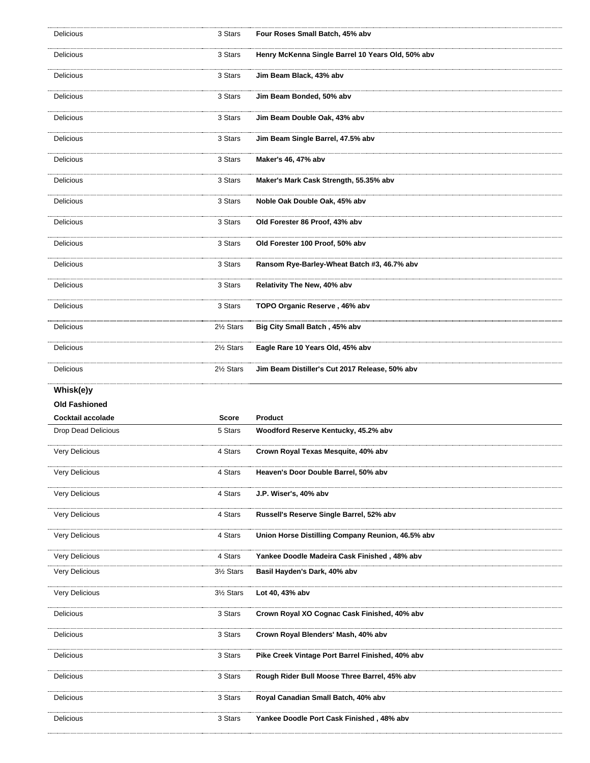| Delicious             | 3 Stars  | Four Roses Small Batch, 45% abv                   |
|-----------------------|----------|---------------------------------------------------|
| Delicious             | 3 Stars  | Henry McKenna Single Barrel 10 Years Old, 50% abv |
| Delicious             | 3 Stars  | Jim Beam Black, 43% abv                           |
| Delicious             | 3 Stars  | Jim Beam Bonded, 50% abv                          |
| Delicious             | 3 Stars  | Jim Beam Double Oak, 43% abv                      |
| Delicious             | 3 Stars  | Jim Beam Single Barrel, 47.5% abv                 |
| Delicious             | 3 Stars  | Maker's 46, 47% abv                               |
| Delicious             | 3 Stars  | Maker's Mark Cask Strength, 55.35% abv            |
| Delicious             | 3 Stars  | Noble Oak Double Oak, 45% abv                     |
| Delicious             | 3 Stars  | Old Forester 86 Proof, 43% abv                    |
| Delicious             | 3 Stars  | Old Forester 100 Proof, 50% abv                   |
| Delicious             | 3 Stars  | Ransom Rye-Barley-Wheat Batch #3, 46.7% abv       |
| Delicious             | 3 Stars  | Relativity The New, 40% abv                       |
| Delicious             | 3 Stars  | TOPO Organic Reserve, 46% abv                     |
| Delicious             | 2½ Stars | Big City Small Batch, 45% abv                     |
| Delicious             | 2½ Stars | Eagle Rare 10 Years Old, 45% abv                  |
| Delicious             | 2½ Stars | Jim Beam Distiller's Cut 2017 Release, 50% abv    |
|                       |          |                                                   |
| Whisk(e)y             |          |                                                   |
| <b>Old Fashioned</b>  |          |                                                   |
| Cocktail accolade     | Score    | <b>Product</b>                                    |
| Drop Dead Delicious   | 5 Stars  | Woodford Reserve Kentucky, 45.2% abv              |
| Very Delicious        | 4 Stars  | Crown Royal Texas Mesquite, 40% abv               |
| Very Delicious        | 4 Stars  | Heaven's Door Double Barrel, 50% abv              |
| Very Delicious        | 4 Stars  | J.P. Wiser's, 40% abv                             |
| Very Delicious        | 4 Stars  | Russell's Reserve Single Barrel, 52% abv          |
| Very Delicious        | 4 Stars  | Union Horse Distilling Company Reunion, 46.5% abv |
| <b>Very Delicious</b> | 4 Stars  | Yankee Doodle Madeira Cask Finished, 48% abv      |
| Very Delicious        | 3½ Stars | Basil Hayden's Dark, 40% abv                      |
| Very Delicious        | 3½ Stars | Lot 40, 43% abv                                   |
| Delicious             | 3 Stars  | Crown Royal XO Cognac Cask Finished, 40% abv      |
| Delicious             | 3 Stars  | Crown Royal Blenders' Mash, 40% abv               |
| Delicious             | 3 Stars  | Pike Creek Vintage Port Barrel Finished, 40% abv  |
| Delicious             | 3 Stars  | Rough Rider Bull Moose Three Barrel, 45% abv      |
| Delicious             | 3 Stars  | Royal Canadian Small Batch, 40% abv               |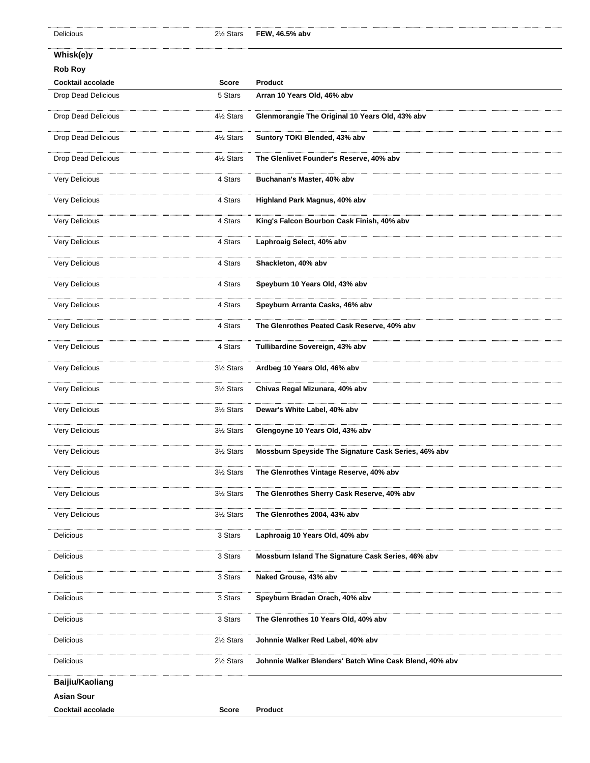## **Whisk(e)y**

## **Rob Roy**

| ROD ROY                    |              |                                                         |
|----------------------------|--------------|---------------------------------------------------------|
| Cocktail accolade          | <b>Score</b> | <b>Product</b>                                          |
| Drop Dead Delicious        | 5 Stars      | Arran 10 Years Old, 46% abv                             |
| Drop Dead Delicious        | 4½ Stars     | Glenmorangie The Original 10 Years Old, 43% abv         |
| <b>Drop Dead Delicious</b> | 4½ Stars     | Suntory TOKI Blended, 43% abv                           |
| Drop Dead Delicious        | 4½ Stars     | The Glenlivet Founder's Reserve, 40% abv                |
| Very Delicious             | 4 Stars      | Buchanan's Master, 40% abv                              |
| <b>Very Delicious</b>      | 4 Stars      | Highland Park Magnus, 40% abv                           |
| Very Delicious             | 4 Stars      | King's Falcon Bourbon Cask Finish, 40% abv              |
| <b>Very Delicious</b>      | 4 Stars      | Laphroaig Select, 40% abv                               |
| Very Delicious             | 4 Stars      | Shackleton, 40% abv                                     |
| Very Delicious             | 4 Stars      | Speyburn 10 Years Old, 43% abv                          |
| Very Delicious             | 4 Stars      | Speyburn Arranta Casks, 46% abv                         |
| Very Delicious             | 4 Stars      | The Glenrothes Peated Cask Reserve, 40% abv             |
| Very Delicious             | 4 Stars      | Tullibardine Sovereign, 43% abv                         |
| Very Delicious             | 3½ Stars     | Ardbeg 10 Years Old, 46% abv                            |
| Very Delicious             | 3½ Stars     | Chivas Regal Mizunara, 40% abv                          |
| <b>Very Delicious</b>      | 3½ Stars     | Dewar's White Label, 40% abv                            |
| Very Delicious             | 3½ Stars     | Glengoyne 10 Years Old, 43% abv                         |
| <b>Very Delicious</b>      | 3½ Stars     | Mossburn Speyside The Signature Cask Series, 46% abv    |
| Very Delicious             | 3½ Stars     | The Glenrothes Vintage Reserve, 40% abv                 |
| Very Delicious             | 3½ Stars     | The Glenrothes Sherry Cask Reserve, 40% abv             |
| <b>Very Delicious</b>      | 3½ Stars     | The Glenrothes 2004, 43% abv                            |
| <b>Delicious</b>           | 3 Stars      | Laphroaig 10 Years Old, 40% abv                         |
| Delicious                  | 3 Stars      | Mossburn Island The Signature Cask Series, 46% abv      |
| Delicious                  | 3 Stars      | Naked Grouse, 43% abv                                   |
| Delicious                  | 3 Stars      | Speyburn Bradan Orach, 40% abv                          |
| Delicious                  | 3 Stars      | The Glenrothes 10 Years Old, 40% abv                    |
| Delicious                  | 2½ Stars     | Johnnie Walker Red Label, 40% abv                       |
| Delicious                  | 2½ Stars     | Johnnie Walker Blenders' Batch Wine Cask Blend, 40% abv |
| Baijiu/Kaoliang            |              |                                                         |
| <b>Asian Sour</b>          |              |                                                         |
| Cocktail accolade          | Score        | Product                                                 |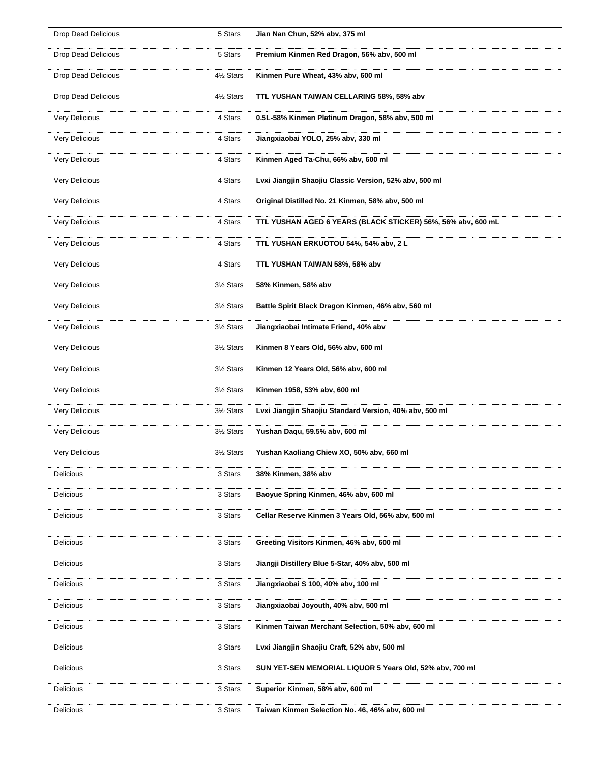| <b>Drop Dead Delicious</b> | 5 Stars  | Jian Nan Chun, 52% abv, 375 ml                               |
|----------------------------|----------|--------------------------------------------------------------|
| Drop Dead Delicious        | 5 Stars  | Premium Kinmen Red Dragon, 56% abv, 500 ml                   |
| <b>Drop Dead Delicious</b> | 4½ Stars | Kinmen Pure Wheat, 43% abv, 600 ml                           |
| <b>Drop Dead Delicious</b> | 4½ Stars | TTL YUSHAN TAIWAN CELLARING 58%, 58% abv                     |
| Very Delicious             | 4 Stars  | 0.5L-58% Kinmen Platinum Dragon, 58% abv, 500 ml             |
| Very Delicious             | 4 Stars  | Jiangxiaobai YOLO, 25% abv, 330 ml                           |
| Very Delicious             | 4 Stars  | Kinmen Aged Ta-Chu, 66% abv, 600 ml                          |
| <b>Very Delicious</b>      | 4 Stars  | Lvxi Jiangjin Shaojiu Classic Version, 52% abv, 500 ml       |
| Very Delicious             | 4 Stars  | Original Distilled No. 21 Kinmen, 58% abv, 500 ml            |
| Very Delicious             | 4 Stars  | TTL YUSHAN AGED 6 YEARS (BLACK STICKER) 56%, 56% abv, 600 mL |
| Very Delicious             | 4 Stars  | TTL YUSHAN ERKUOTOU 54%, 54% abv, 2 L                        |
| Very Delicious             | 4 Stars  | TTL YUSHAN TAIWAN 58%, 58% abv                               |
| Very Delicious             | 3½ Stars | 58% Kinmen, 58% abv                                          |
| Very Delicious             | 3½ Stars | Battle Spirit Black Dragon Kinmen, 46% abv, 560 ml           |
| Very Delicious             | 3½ Stars | Jiangxiaobai Intimate Friend, 40% abv                        |
| Very Delicious             | 3½ Stars | Kinmen 8 Years Old, 56% abv, 600 ml                          |
| Very Delicious             | 3½ Stars | Kinmen 12 Years Old, 56% abv, 600 ml                         |
| Very Delicious             | 3½ Stars | Kinmen 1958, 53% abv, 600 ml                                 |
| Very Delicious             | 3½ Stars | Lvxi Jiangjin Shaojiu Standard Version, 40% abv, 500 ml      |
| Very Delicious             | 3½ Stars | Yushan Daqu, 59.5% abv, 600 ml                               |
| Very Delicious             | 3½ Stars | Yushan Kaoliang Chiew XO, 50% abv, 660 ml                    |
| Delicious                  | 3 Stars  | 38% Kinmen, 38% abv                                          |
| Delicious                  | 3 Stars  | Baoyue Spring Kinmen, 46% abv, 600 ml                        |
| Delicious                  | 3 Stars  | Cellar Reserve Kinmen 3 Years Old, 56% abv, 500 ml           |
| Delicious                  | 3 Stars  | Greeting Visitors Kinmen, 46% abv, 600 ml                    |
| Delicious                  | 3 Stars  | Jiangji Distillery Blue 5-Star, 40% abv, 500 ml              |
| <b>Delicious</b>           | 3 Stars  | Jiangxiaobai S 100, 40% abv, 100 ml                          |
| Delicious                  | 3 Stars  | Jiangxiaobai Joyouth, 40% abv, 500 ml                        |
| Delicious                  | 3 Stars  | Kinmen Taiwan Merchant Selection, 50% abv, 600 ml            |
| Delicious                  | 3 Stars  | Lvxi Jiangjin Shaojiu Craft, 52% abv, 500 ml                 |
| Delicious                  | 3 Stars  | SUN YET-SEN MEMORIAL LIQUOR 5 Years Old, 52% abv, 700 ml     |
| Delicious                  | 3 Stars  | Superior Kinmen, 58% abv, 600 ml                             |
| Delicious                  | 3 Stars  | Taiwan Kinmen Selection No. 46, 46% abv, 600 ml              |